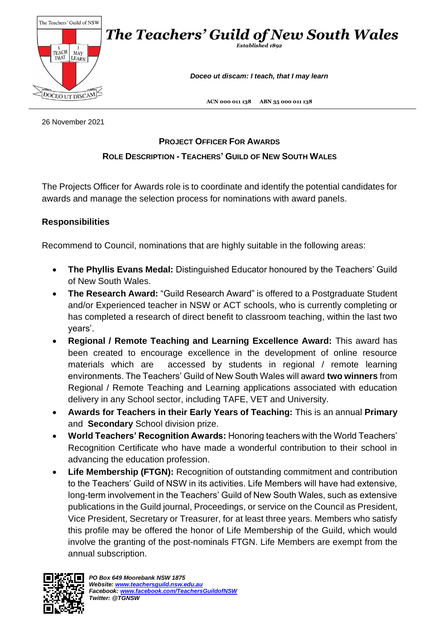

26 November 2021

## **PROJECT OFFICER FOR AWARDS**

## **ROLE DESCRIPTION - TEACHERS' GUILD OF NEW SOUTH WALES**

The Projects Officer for Awards role is to coordinate and identify the potential candidates for awards and manage the selection process for nominations with award panels.

## **Responsibilities**

Recommend to Council, nominations that are highly suitable in the following areas:

- **The Phyllis Evans Medal:** Distinguished Educator honoured by the Teachers' Guild of New South Wales.
- **The Research Award:** "Guild Research Award" is offered to a Postgraduate Student and/or Experienced teacher in NSW or ACT schools, who is currently completing or has completed a research of direct benefit to classroom teaching, within the last two years'.
- **Regional / Remote Teaching and Learning Excellence Award:** This award has been created to encourage excellence in the development of online resource materials which are accessed by students in regional / remote learning environments. The Teachers' Guild of New South Wales will award **two winners** from Regional / Remote Teaching and Learning applications associated with education delivery in any School sector, including TAFE, VET and University.
- **Awards for Teachers in their Early Years of Teaching:** This is an annual **Primary** and **Secondary** School division prize.
- **World Teachers' Recognition Awards:** Honoring teachers with the World Teachers' Recognition Certificate who have made a wonderful contribution to their school in advancing the education profession.
- **Life Membership (FTGN):** Recognition of outstanding commitment and contribution to the Teachers' Guild of NSW in its activities. Life Members will have had extensive, long-term involvement in the Teachers' Guild of New South Wales, such as extensive publications in the Guild journal, Proceedings, or service on the Council as President, Vice President, Secretary or Treasurer, for at least three years. Members who satisfy this profile may be offered the honor of Life Membership of the Guild, which would involve the granting of the post-nominals FTGN. Life Members are exempt from the annual subscription.